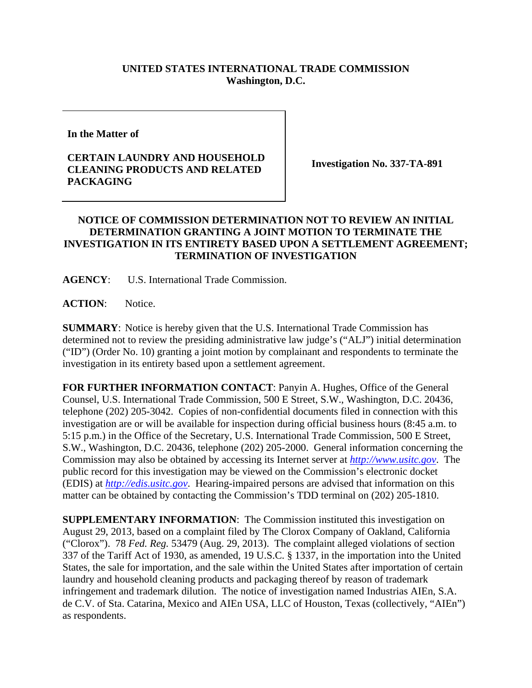## **UNITED STATES INTERNATIONAL TRADE COMMISSION Washington, D.C.**

**In the Matter of** 

## **CERTAIN LAUNDRY AND HOUSEHOLD CLEANING PRODUCTS AND RELATED PACKAGING**

**Investigation No. 337-TA-891** 

## **NOTICE OF COMMISSION DETERMINATION NOT TO REVIEW AN INITIAL DETERMINATION GRANTING A JOINT MOTION TO TERMINATE THE INVESTIGATION IN ITS ENTIRETY BASED UPON A SETTLEMENT AGREEMENT; TERMINATION OF INVESTIGATION**

**AGENCY**: U.S. International Trade Commission.

ACTION: Notice.

**SUMMARY**: Notice is hereby given that the U.S. International Trade Commission has determined not to review the presiding administrative law judge's ("ALJ") initial determination ("ID") (Order No. 10) granting a joint motion by complainant and respondents to terminate the investigation in its entirety based upon a settlement agreement.

**FOR FURTHER INFORMATION CONTACT**: Panyin A. Hughes, Office of the General Counsel, U.S. International Trade Commission, 500 E Street, S.W., Washington, D.C. 20436, telephone (202) 205-3042. Copies of non-confidential documents filed in connection with this investigation are or will be available for inspection during official business hours (8:45 a.m. to 5:15 p.m.) in the Office of the Secretary, U.S. International Trade Commission, 500 E Street, S.W., Washington, D.C. 20436, telephone (202) 205-2000. General information concerning the Commission may also be obtained by accessing its Internet server at *http://www.usitc.gov*. The public record for this investigation may be viewed on the Commission's electronic docket (EDIS) at *http://edis.usitc.gov*. Hearing-impaired persons are advised that information on this matter can be obtained by contacting the Commission's TDD terminal on (202) 205-1810.

**SUPPLEMENTARY INFORMATION**: The Commission instituted this investigation on August 29, 2013, based on a complaint filed by The Clorox Company of Oakland, California ("Clorox"). 78 *Fed. Reg.* 53479 (Aug. 29, 2013). The complaint alleged violations of section 337 of the Tariff Act of 1930, as amended, 19 U.S.C. § 1337, in the importation into the United States, the sale for importation, and the sale within the United States after importation of certain laundry and household cleaning products and packaging thereof by reason of trademark infringement and trademark dilution. The notice of investigation named Industrias AIEn, S.A. de C.V. of Sta. Catarina, Mexico and AIEn USA, LLC of Houston, Texas (collectively, "AIEn") as respondents.